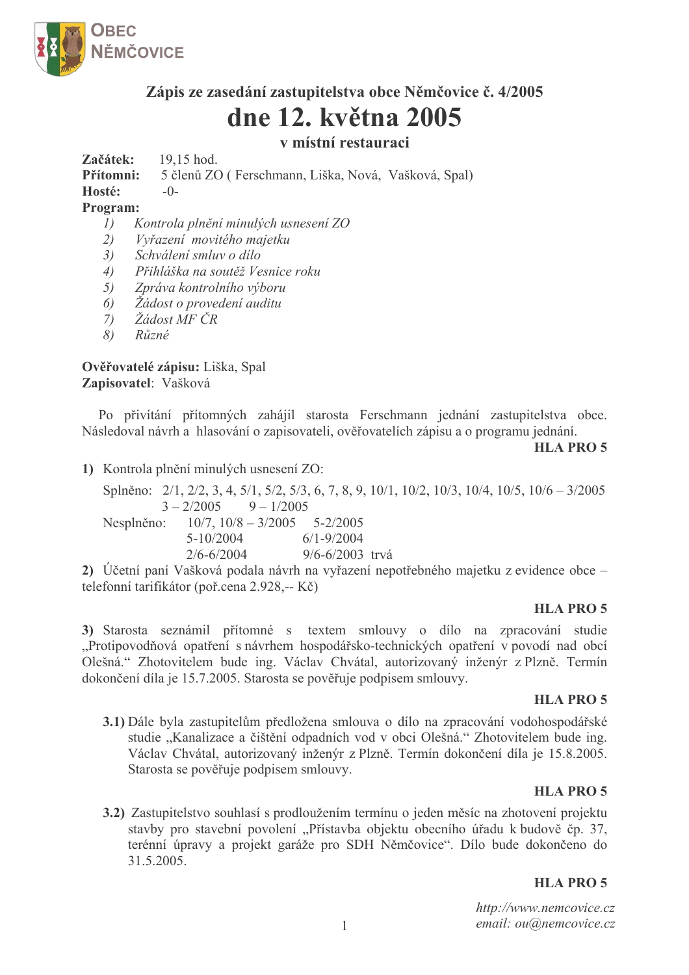

# Zápis ze zasedání zastupitelstva obce Němčovice č. 4/2005 dne 12. května 2005

# v místní restauraci

Začátek: 19.15 hod.

Přítomni: 5 členů ZO (Ferschmann, Liška, Nová, Vašková, Spal)

Hosté:  $-()$ -

### Program:

- Kontrola plnění minulých usnesení ZO  $I)$
- $2)$ Vyřazení movitého majetku
- Schválení smluv o dílo  $3)$
- $4)$ Přihláška na soutěž Vesnice roku
- $5)$ Zpráva kontrolního výboru
- Žádost o provedení auditu 6)
- Žádost MF ČR  $(7)$
- $\mathcal{S}$ )  $R\nu zn\acute{e}$

## Ověřovatelé zápisu: Liška, Spal Zapisovatel: Vašková

Po přivítání přítomných zahájil starosta Ferschmann jednání zastupitelstva obce. Následoval návrh a hlasování o zapisovateli, ověřovatelích zápisu a o programu jednání.

**HLA PRO 5** 

1) Kontrola plnění minulých usnesení ZO:

Splněno: 2/1, 2/2, 3, 4, 5/1, 5/2, 5/3, 6, 7, 8, 9, 10/1, 10/2, 10/3, 10/4, 10/5, 10/6 – 3/2005  $9 - 1/2005$  $3 - 2/2005$  $10/7$ ,  $10/8 - 3/2005$  5-2/2005 Nesplněno:  $5 - 10/2004$  $6/1 - 9/2004$  $2/6 - 6/2004$  $9/6 - 6/2003$  trvá

2) Účetní paní Vašková podala návrh na vyřazení nepotřebného majetku z evidence obce – telefonní tarifikátor (poř.cena 2.928,-- Kč)

#### **HLA PRO 5**

3) Starosta seznámil přítomné s textem smlouvy o dílo na zpracování studie "Protipovodňová opatření s návrhem hospodářsko-technických opatření v povodí nad obcí Olešná." Zhotovitelem bude ing. Václav Chvátal, autorizovaný inženýr z Plzně. Termín dokončení díla je 15.7.2005. Starosta se pověřuje podpisem smlouvy.

#### **HLA PRO 5**

3.1) Dále byla zastupitelům předložena smlouva o dílo na zpracování vodohospodářské studie "Kanalizace a čištění odpadních vod v obci Olešná." Zhotovitelem bude ing. Václav Chvátal, autorizovaný inženýr z Plzně. Termín dokončení díla je 15.8.2005. Starosta se pověřuje podpisem smlouvy.

### **HLA PRO 5**

3.2) Zastupitelstvo souhlasí s prodloužením termínu o jeden měsíc na zhotovení projektu stavby pro stavební povolení "Přístavba objektu obecního úřadu k budově čp. 37, terénní úpravy a projekt garáže pro SDH Němčovice". Dílo bude dokončeno do 31.5.2005.

### HLA PRO 5

http://www.nemcovice.cz email: ou@nemcovice.cz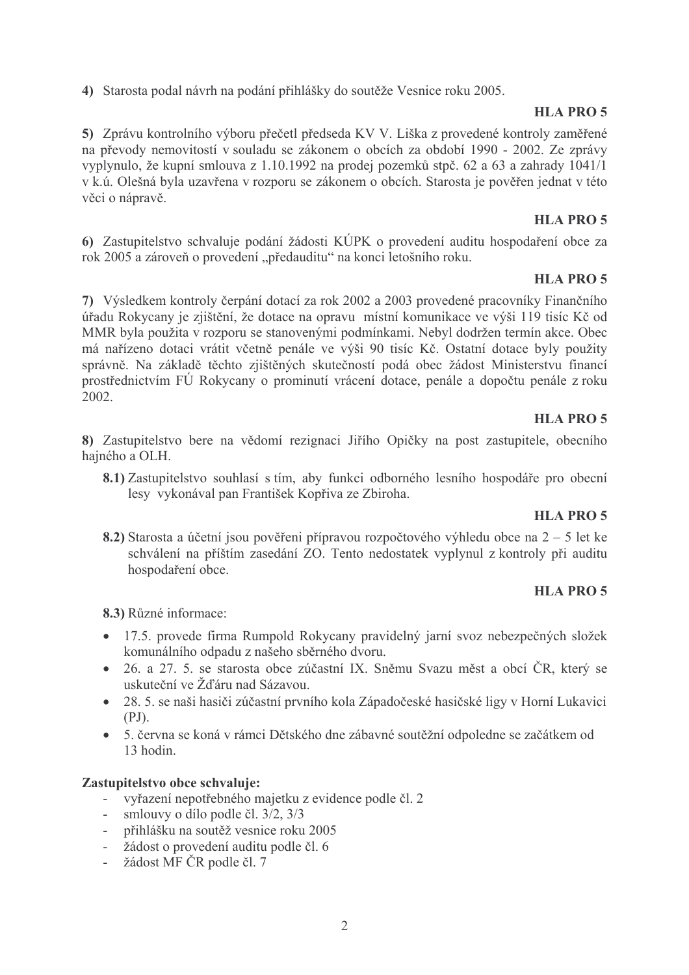4) Starosta podal návrh na podání přihlášky do soutěže Vesnice roku 2005.

## **HLA PRO 5**

5) Zprávu kontrolního výboru přečetl předseda KV V. Liška z provedené kontroly zaměřené na převody nemovitostí v souladu se zákonem o obcích za období 1990 - 2002. Ze zprávy vyplynulo, že kupní smlouva z 1.10.1992 na prodej pozemků stpč. 62 a 63 a zahrady 1041/1 v k.ú. Olešná byla uzavřena v rozporu se zákonem o obcích. Starosta je pověřen jednat v této věci o nápravě.

## **HLA PRO 5**

6) Zastupitelstvo schvaluje podání žádosti KÚPK o provedení auditu hospodaření obce za rok 2005 a zároveň o provedení "předauditu" na konci letošního roku.

## **HLA PRO 5**

7) Výsledkem kontroly čerpání dotací za rok 2002 a 2003 provedené pracovníky Finančního úřadu Rokycany je zjištění, že dotace na opravu místní komunikace ve výši 119 tisíc Kč od MMR byla použita v rozporu se stanovenými podmínkami. Nebyl dodržen termín akce. Obec má nařízeno dotaci vrátit včetně penále ve výši 90 tisíc Kč. Ostatní dotace byly použity správně. Na základě těchto zjištěných skutečností podá obec žádost Ministerstvu financí prostřednictvím FÚ Rokycany o prominutí vrácení dotace, penále a dopočtu penále z roku  $2002.$ 

## **HLA PRO 5**

8) Zastupitelstvo bere na vědomí rezignaci Jiřího Opičky na post zastupitele, obecního hajného a OLH.

8.1) Zastupitelstvo souhlasí s tím, aby funkci odborného lesního hospodáře pro obecní lesy vykonával pan František Kopřiva ze Zbiroha.

## HLA PRO 5

8.2) Starosta a účetní jsou pověřeni přípravou rozpočtového výhledu obce na  $2 - 5$  let ke schválení na příštím zasedání ZO. Tento nedostatek vyplynul z kontroly při auditu hospodaření obce.

## **HLA PRO 5**

8.3) Různé informace:

- 17.5. provede firma Rumpold Rokycany pravidelný jarní svoz nebezpečných složek komunálního odpadu z našeho sběrného dvoru.
- 26. a 27. 5. se starosta obce zúčastní IX. Sněmu Svazu měst a obcí ČR, který se uskuteční ve Žďáru nad Sázavou.
- 28. 5. se naši hasiči zúčastní prvního kola Západočeské hasičské ligy v Horní Lukavici  $(PJ)$ .
- 5. června se koná v rámci Dětského dne zábavné soutěžní odpoledne se začátkem od 13 hodin.

## Zastupitelstvo obce schvaluje:

- vyřazení nepotřebného majetku z evidence podle čl. 2
- smlouvy o dílo podle čl.  $3/2$ ,  $3/3$
- přihlášku na soutěž vesnice roku 2005
- žádost o provedení auditu podle čl. 6
- žádost MF ČR podle čl. 7